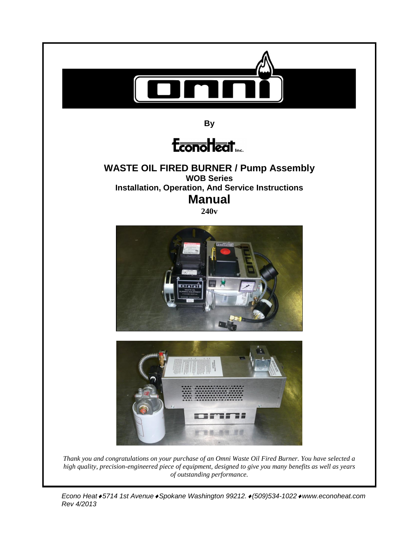

*Thank you and congratulations on your purchase of an Omni Waste Oil Fired Burner. You have selected a high quality, precision-engineered piece of equipment, designed to give you many benefits as well as years of outstanding performance.*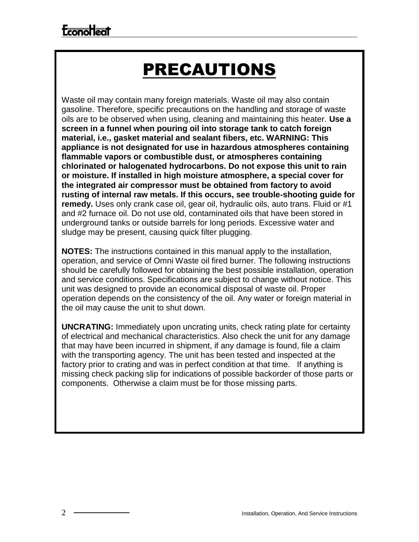## PRECAUTIONS

Waste oil may contain many foreign materials. Waste oil may also contain gasoline. Therefore, specific precautions on the handling and storage of waste oils are to be observed when using, cleaning and maintaining this heater. **Use a screen in a funnel when pouring oil into storage tank to catch foreign material, i.e., gasket material and sealant fibers, etc. WARNING: This appliance is not designated for use in hazardous atmospheres containing flammable vapors or combustible dust, or atmospheres containing chlorinated or halogenated hydrocarbons. Do not expose this unit to rain or moisture. If installed in high moisture atmosphere, a special cover for the integrated air compressor must be obtained from factory to avoid rusting of internal raw metals. If this occurs, see trouble-shooting guide for remedy.** Uses only crank case oil, gear oil, hydraulic oils, auto trans. Fluid or #1 and #2 furnace oil. Do not use old, contaminated oils that have been stored in underground tanks or outside barrels for long periods. Excessive water and sludge may be present, causing quick filter plugging.

**NOTES:** The instructions contained in this manual apply to the installation, operation, and service of Omni Waste oil fired burner. The following instructions should be carefully followed for obtaining the best possible installation, operation and service conditions. Specifications are subject to change without notice. This unit was designed to provide an economical disposal of waste oil. Proper operation depends on the consistency of the oil. Any water or foreign material in the oil may cause the unit to shut down.

**UNCRATING:** Immediately upon uncrating units, check rating plate for certainty of electrical and mechanical characteristics. Also check the unit for any damage that may have been incurred in shipment, if any damage is found, file a claim with the transporting agency. The unit has been tested and inspected at the factory prior to crating and was in perfect condition at that time. If anything is missing check packing slip for indications of possible backorder of those parts or components. Otherwise a claim must be for those missing parts.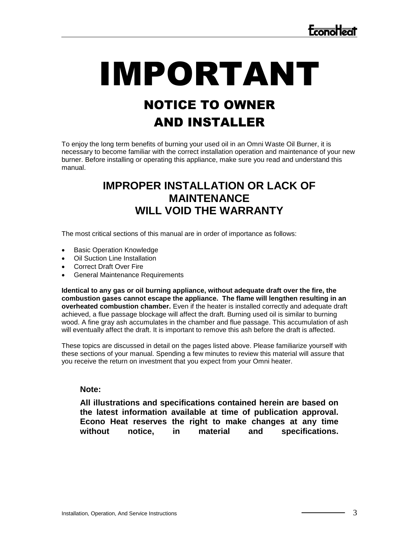# IMPORTANT NOTICE TO OWNER

## AND INSTALLER

To enjoy the long term benefits of burning your used oil in an Omni Waste Oil Burner, it is necessary to become familiar with the correct installation operation and maintenance of your new burner. Before installing or operating this appliance, make sure you read and understand this manual.

### **IMPROPER INSTALLATION OR LACK OF MAINTENANCE WILL VOID THE WARRANTY**

The most critical sections of this manual are in order of importance as follows:

- Basic Operation Knowledge
- Oil Suction Line Installation
- Correct Draft Over Fire
- General Maintenance Requirements

**Identical to any gas or oil burning appliance, without adequate draft over the fire, the combustion gases cannot escape the appliance. The flame will lengthen resulting in an overheated combustion chamber.** Even if the heater is installed correctly and adequate draft achieved, a flue passage blockage will affect the draft. Burning used oil is similar to burning wood. A fine gray ash accumulates in the chamber and flue passage. This accumulation of ash will eventually affect the draft. It is important to remove this ash before the draft is affected.

These topics are discussed in detail on the pages listed above. Please familiarize yourself with these sections of your manual. Spending a few minutes to review this material will assure that you receive the return on investment that you expect from your Omni heater.

#### **Note:**

**All illustrations and specifications contained herein are based on the latest information available at time of publication approval. Econo Heat reserves the right to make changes at any time without notice, in material and specifications.**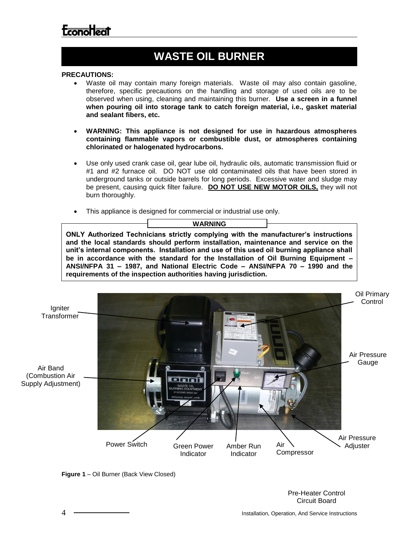## **WASTE OIL BURNER**

#### **PRECAUTIONS:**

- Waste oil may contain many foreign materials. Waste oil may also contain gasoline, therefore, specific precautions on the handling and storage of used oils are to be observed when using, cleaning and maintaining this burner. **Use a screen in a funnel when pouring oil into storage tank to catch foreign material, i.e., gasket material and sealant fibers, etc.**
- **WARNING: This appliance is not designed for use in hazardous atmospheres containing flammable vapors or combustible dust, or atmospheres containing chlorinated or halogenated hydrocarbons.**
- Use only used crank case oil, gear lube oil, hydraulic oils, automatic transmission fluid or #1 and #2 furnace oil. DO NOT use old contaminated oils that have been stored in underground tanks or outside barrels for long periods. Excessive water and sludge may be present, causing quick filter failure. **DO NOT USE NEW MOTOR OILS,** they will not burn thoroughly.
- This appliance is designed for commercial or industrial use only.

#### **WARNING**

**ONLY Authorized Technicians strictly complying with the manufacturer's instructions and the local standards should perform installation, maintenance and service on the unit's internal components. Installation and use of this used oil burning appliance shall be in accordance with the standard for the Installation of Oil Burning Equipment – ANSI/NFPA 31 – 1987, and National Electric Code – ANSI/NFPA 70 – 1990 and the requirements of the inspection authorities having jurisdiction.**





Pre-Heater Control Circuit Board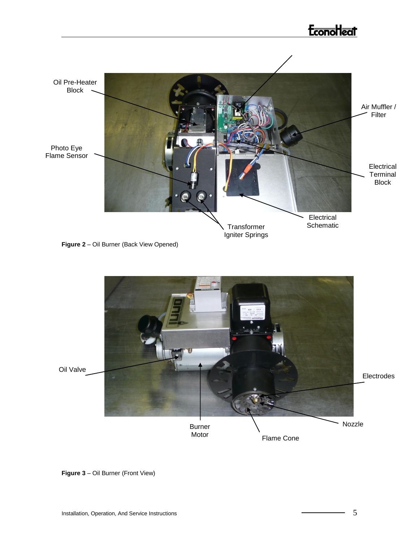## **Econollecit**



**Figure 2** – Oil Burner (Back View Opened)



**Figure 3** – Oil Burner (Front View)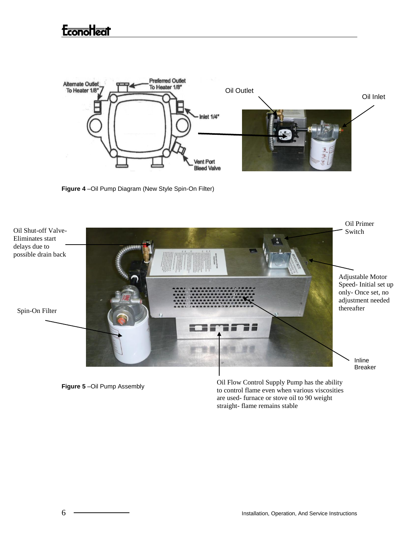

**Figure 4** –Oil Pump Diagram (New Style Spin-On Filter)



**Figure 5** –Oil Pump Assembly

Oil Flow Control Supply Pump has the ability to control flame even when various viscosities are used- furnace or stove oil to 90 weight straight- flame remains stable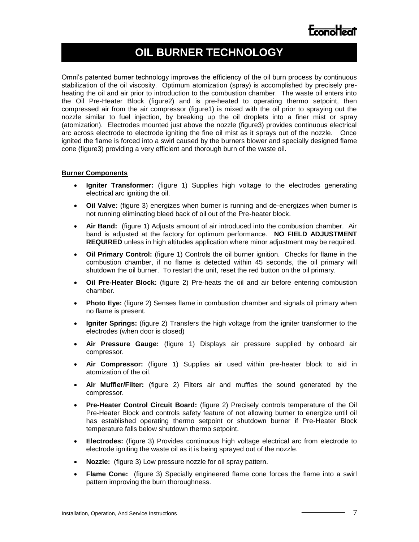### **OIL BURNER TECHNOLOGY**

Omni's patented burner technology improves the efficiency of the oil burn process by continuous stabilization of the oil viscosity. Optimum atomization (spray) is accomplished by precisely preheating the oil and air prior to introduction to the combustion chamber. The waste oil enters into the Oil Pre-Heater Block (figure2) and is pre-heated to operating thermo setpoint, then compressed air from the air compressor (figure1) is mixed with the oil prior to spraying out the nozzle similar to fuel injection, by breaking up the oil droplets into a finer mist or spray (atomization). Electrodes mounted just above the nozzle (figure3) provides continuous electrical arc across electrode to electrode igniting the fine oil mist as it sprays out of the nozzle. Once ignited the flame is forced into a swirl caused by the burners blower and specially designed flame cone (figure3) providing a very efficient and thorough burn of the waste oil.

#### **Burner Components**

- **Igniter Transformer:** (figure 1) Supplies high voltage to the electrodes generating electrical arc igniting the oil.
- **Oil Valve:** (figure 3) energizes when burner is running and de-energizes when burner is not running eliminating bleed back of oil out of the Pre-heater block.
- **Air Band:** (figure 1) Adjusts amount of air introduced into the combustion chamber. Air band is adjusted at the factory for optimum performance. **NO FIELD ADJUSTMENT REQUIRED** unless in high altitudes application where minor adjustment may be required.
- **Oil Primary Control:** (figure 1) Controls the oil burner ignition. Checks for flame in the combustion chamber, if no flame is detected within 45 seconds, the oil primary will shutdown the oil burner. To restart the unit, reset the red button on the oil primary.
- **Oil Pre-Heater Block:** (figure 2) Pre-heats the oil and air before entering combustion chamber.
- **Photo Eye:** (figure 2) Senses flame in combustion chamber and signals oil primary when no flame is present.
- **Igniter Springs:** (figure 2) Transfers the high voltage from the igniter transformer to the electrodes (when door is closed)
- **Air Pressure Gauge:** (figure 1) Displays air pressure supplied by onboard air compressor.
- **Air Compressor:** (figure 1) Supplies air used within pre-heater block to aid in atomization of the oil.
- **Air Muffler/Filter:** (figure 2) Filters air and muffles the sound generated by the compressor.
- **Pre-Heater Control Circuit Board:** (figure 2) Precisely controls temperature of the Oil Pre-Heater Block and controls safety feature of not allowing burner to energize until oil has established operating thermo setpoint or shutdown burner if Pre-Heater Block temperature falls below shutdown thermo setpoint.
- **Electrodes:** (figure 3) Provides continuous high voltage electrical arc from electrode to electrode igniting the waste oil as it is being sprayed out of the nozzle.
- **Nozzle:** (figure 3) Low pressure nozzle for oil spray pattern.
- **Flame Cone:** (figure 3) Specially engineered flame cone forces the flame into a swirl pattern improving the burn thoroughness.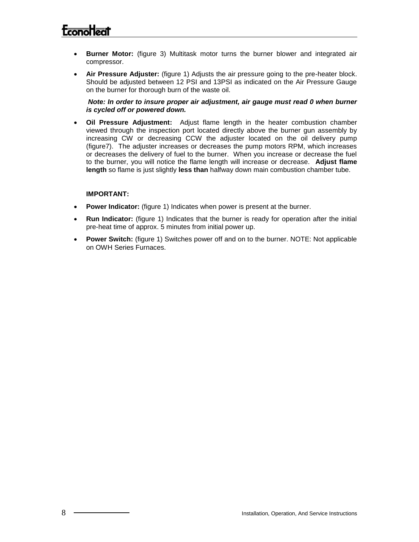- **Burner Motor:** (figure 3) Multitask motor turns the burner blower and integrated air compressor.
- **Air Pressure Adjuster:** (figure 1) Adjusts the air pressure going to the pre-heater block. Should be adjusted between 12 PSI and 13PSI as indicated on the Air Pressure Gauge on the burner for thorough burn of the waste oil.

*Note: In order to insure proper air adjustment, air gauge must read 0 when burner is cycled off or powered down.*

 **Oil Pressure Adjustment:** Adjust flame length in the heater combustion chamber viewed through the inspection port located directly above the burner gun assembly by increasing CW or decreasing CCW the adjuster located on the oil delivery pump (figure7). The adjuster increases or decreases the pump motors RPM, which increases or decreases the delivery of fuel to the burner. When you increase or decrease the fuel to the burner, you will notice the flame length will increase or decrease. **Adjust flame length** so flame is just slightly **less than** halfway down main combustion chamber tube.

#### **IMPORTANT:**

- **Power Indicator:** (figure 1) Indicates when power is present at the burner.
- **Run Indicator:** (figure 1) Indicates that the burner is ready for operation after the initial pre-heat time of approx. 5 minutes from initial power up.
- **Power Switch:** (figure 1) Switches power off and on to the burner. NOTE: Not applicable on OWH Series Furnaces.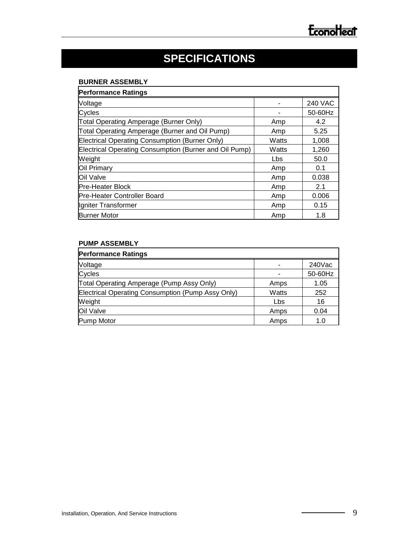## **SPECIFICATIONS**

#### **BURNER ASSEMBLY**

| <b>Performance Ratings</b>                             |       |                |  |  |
|--------------------------------------------------------|-------|----------------|--|--|
| Voltage                                                |       | <b>240 VAC</b> |  |  |
| Cycles                                                 |       | 50-60Hz        |  |  |
| Total Operating Amperage (Burner Only)                 | Amp   | 4.2            |  |  |
| Total Operating Amperage (Burner and Oil Pump)         | Amp   | 5.25           |  |  |
| Electrical Operating Consumption (Burner Only)         | Watts | 1,008          |  |  |
| Electrical Operating Consumption (Burner and Oil Pump) | Watts | 1,260          |  |  |
| Weight                                                 | Lbs   | 50.0           |  |  |
| Oil Primary                                            | Amp   | 0.1            |  |  |
| Oil Valve                                              | Amp   | 0.038          |  |  |
| <b>Pre-Heater Block</b>                                | Amp   | 2.1            |  |  |
| <b>Pre-Heater Controller Board</b>                     | Amp   | 0.006          |  |  |
| Igniter Transformer                                    | Amp   | 0.15           |  |  |
| <b>Burner Motor</b>                                    | Amp   | 1.8            |  |  |

#### **PUMP ASSEMBLY**

| <b>Performance Ratings</b>                        |       |           |
|---------------------------------------------------|-------|-----------|
| Voltage                                           |       | $240$ Vac |
| Cycles                                            |       | 50-60Hz   |
| Total Operating Amperage (Pump Assy Only)         | Amps  | 1.05      |
| Electrical Operating Consumption (Pump Assy Only) | Watts | 252       |
| Weight                                            | Lbs   | 16        |
| Oil Valve                                         | Amps  | 0.04      |
| Pump Motor                                        | Amps  | 1.0       |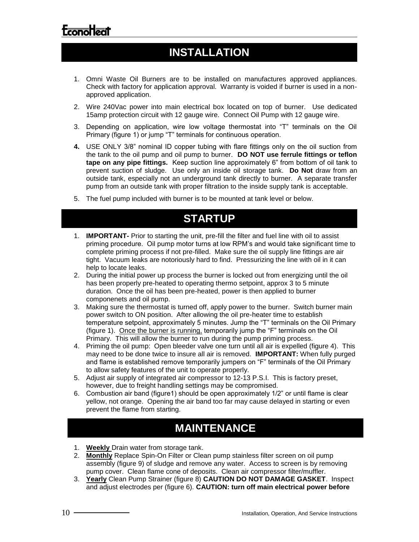### **INSTALLATION**

- 1. Omni Waste Oil Burners are to be installed on manufactures approved appliances. Check with factory for application approval. Warranty is voided if burner is used in a nonapproved application.
- 2. Wire 240Vac power into main electrical box located on top of burner. Use dedicated 15amp protection circuit with 12 gauge wire. Connect Oil Pump with 12 gauge wire.
- 3. Depending on application, wire low voltage thermostat into "T" terminals on the Oil Primary (figure 1) or jump "T" terminals for continuous operation.
- **4.** USE ONLY 3/8" nominal ID copper tubing with flare fittings only on the oil suction from the tank to the oil pump and oil pump to burner. **DO NOT use ferrule fittings or teflon tape on any pipe fittings.** Keep suction line approximately 6" from bottom of oil tank to prevent suction of sludge. Use only an inside oil storage tank. **Do Not** draw from an outside tank, especially not an underground tank directly to burner. A separate transfer pump from an outside tank with proper filtration to the inside supply tank is acceptable.
- 5. The fuel pump included with burner is to be mounted at tank level or below.

### **STARTUP**

- 1. **IMPORTANT-** Prior to starting the unit, pre-fill the filter and fuel line with oil to assist priming procedure. Oil pump motor turns at low RPM's and would take significant time to complete priming process if not pre-filled. Make sure the oil supply line fittings are air tight. Vacuum leaks are notoriously hard to find. Pressurizing the line with oil in it can help to locate leaks.
- 2. During the initial power up process the burner is locked out from energizing until the oil has been properly pre-heated to operating thermo setpoint, approx 3 to 5 minute duration. Once the oil has been pre-heated, power is then applied to burner componenets and oil pump.
- 3. Making sure the thermostat is turned off, apply power to the burner. Switch burner main power switch to ON position. After allowing the oil pre-heater time to establish temperature setpoint, approximately 5 minutes. Jump the "T" terminals on the Oil Primary (figure 1). Once the burner is running, temporarily jump the "F" terminals on the Oil Primary. This will allow the burner to run during the pump priming process.
- 4. Priming the oil pump: Open bleeder valve one turn until all air is expelled (figure 4). This may need to be done twice to insure all air is removed. **IMPORTANT:** When fully purged and flame is established remove temporarily jumpers on "F" terminals of the Oil Primary to allow safety features of the unit to operate properly.
- 5. Adjust air supply of integrated air compressor to 12-13 P.S.I. This is factory preset, however, due to freight handling settings may be compromised.
- 6. Combustion air band (figure1) should be open approximately 1/2" or until flame is clear yellow, not orange. Opening the air band too far may cause delayed in starting or even prevent the flame from starting.

### **MAINTENANCE**

- 1. **Weekly** Drain water from storage tank.
- 2. **Monthly** Replace Spin-On Filter or Clean pump stainless filter screen on oil pump assembly (figure 9) of sludge and remove any water. Access to screen is by removing pump cover. Clean flame cone of deposits. Clean air compressor filter/muffler.
- 3. **Yearly** Clean Pump Strainer (figure 8) **CAUTION DO NOT DAMAGE GASKET**. Inspect and adjust electrodes per (figure 6). **CAUTION: turn off main electrical power before**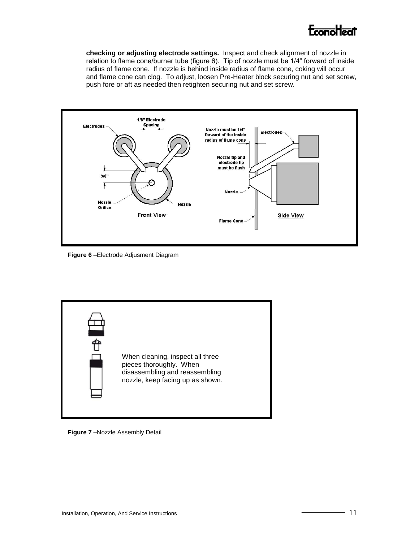**checking or adjusting electrode settings.** Inspect and check alignment of nozzle in relation to flame cone/burner tube (figure 6). Tip of nozzle must be 1/4" forward of inside radius of flame cone. If nozzle is behind inside radius of flame cone, coking will occur and flame cone can clog. To adjust, loosen Pre-Heater block securing nut and set screw, push fore or aft as needed then retighten securing nut and set screw.



**Figure 6** –Electrode Adjusment Diagram



**Figure 7** –Nozzle Assembly Detail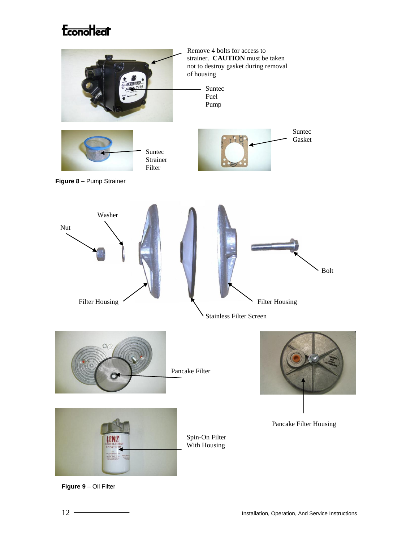## **Econollect**



**Figure 9** – Oil Filter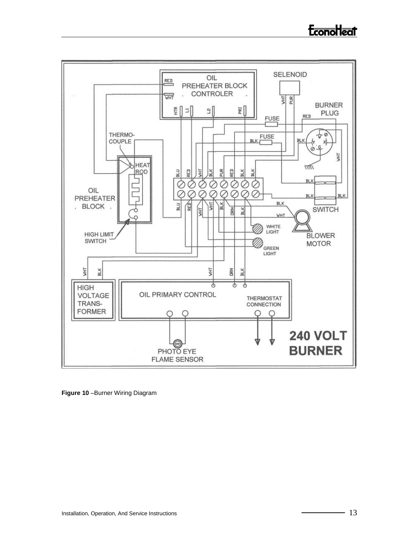

**Figure 10** –Burner Wiring Diagram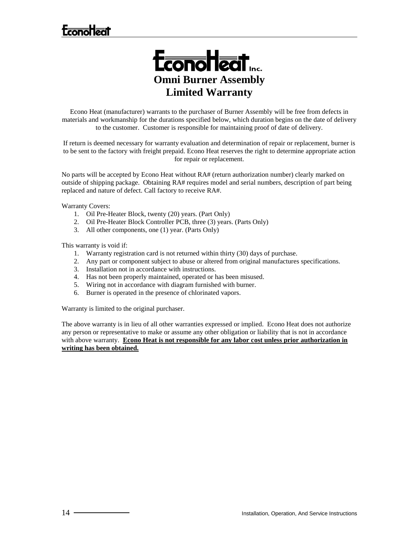## **Econolizat**



Econo Heat (manufacturer) warrants to the purchaser of Burner Assembly will be free from defects in materials and workmanship for the durations specified below, which duration begins on the date of delivery to the customer. Customer is responsible for maintaining proof of date of delivery.

If return is deemed necessary for warranty evaluation and determination of repair or replacement, burner is to be sent to the factory with freight prepaid. Econo Heat reserves the right to determine appropriate action for repair or replacement.

No parts will be accepted by Econo Heat without RA# (return authorization number) clearly marked on outside of shipping package. Obtaining RA# requires model and serial numbers, description of part being replaced and nature of defect. Call factory to receive RA#.

Warranty Covers:

- 1. Oil Pre-Heater Block, twenty (20) years. (Part Only)
- 2. Oil Pre-Heater Block Controller PCB, three (3) years. (Parts Only)
- 3. All other components, one (1) year. (Parts Only)

This warranty is void if:

- 1. Warranty registration card is not returned within thirty (30) days of purchase.
- 2. Any part or component subject to abuse or altered from original manufactures specifications.
- 3. Installation not in accordance with instructions.
- 4. Has not been properly maintained, operated or has been misused.
- 5. Wiring not in accordance with diagram furnished with burner.
- 6. Burner is operated in the presence of chlorinated vapors.

Warranty is limited to the original purchaser.

The above warranty is in lieu of all other warranties expressed or implied. Econo Heat does not authorize any person or representative to make or assume any other obligation or liability that is not in accordance with above warranty. **Econo Heat is not responsible for any labor cost unless prior authorization in writing has been obtained.**